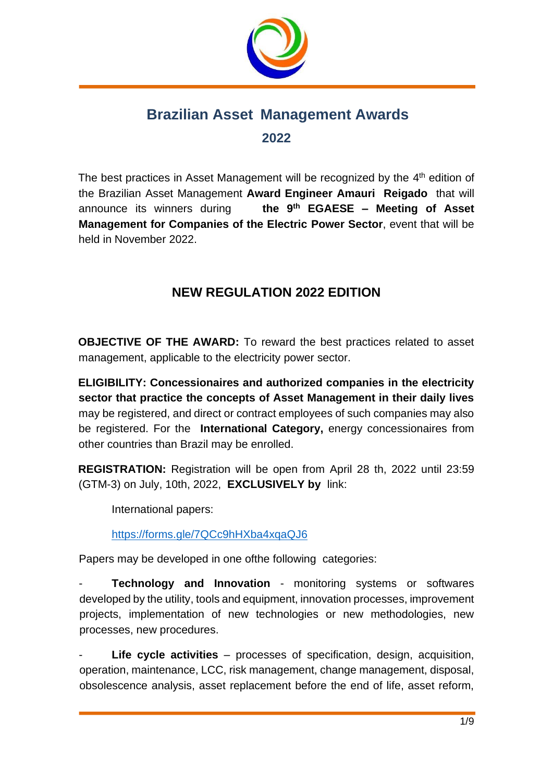

# **Brazilian Asset Management Awards 2022**

The best practices in Asset Management will be recognized by the 4<sup>th</sup> edition of the Brazilian Asset Management **Award Engineer Amauri Reigado** that will announce its winners during **th EGAESE – Meeting of Asset Management for Companies of the Electric Power Sector**, event that will be held in November 2022.

# **NEW REGULATION 2022 EDITION**

**OBJECTIVE OF THE AWARD:** To reward the best practices related to asset management, applicable to the electricity power sector.

**ELIGIBILITY: Concessionaires and authorized companies in the electricity sector that practice the concepts of Asset Management in their daily lives**  may be registered, and direct or contract employees of such companies may also be registered. For the **International Category,** energy concessionaires from other countries than Brazil may be enrolled.

**REGISTRATION:** Registration will be open from April 28 th, 2022 until 23:59 (GTM-3) on July, 10th, 2022, **EXCLUSIVELY by** link:

International papers:

<https://forms.gle/7QCc9hHXba4xqaQJ6>

Papers may be developed in one ofthe following categories:

**Technology and Innovation -** monitoring systems or softwares developed by the utility, tools and equipment, innovation processes, improvement projects, implementation of new technologies or new methodologies, new processes, new procedures.

Life cycle activities – processes of specification, design, acquisition, operation, maintenance, LCC, risk management, change management, disposal, obsolescence analysis, asset replacement before the end of life, asset reform,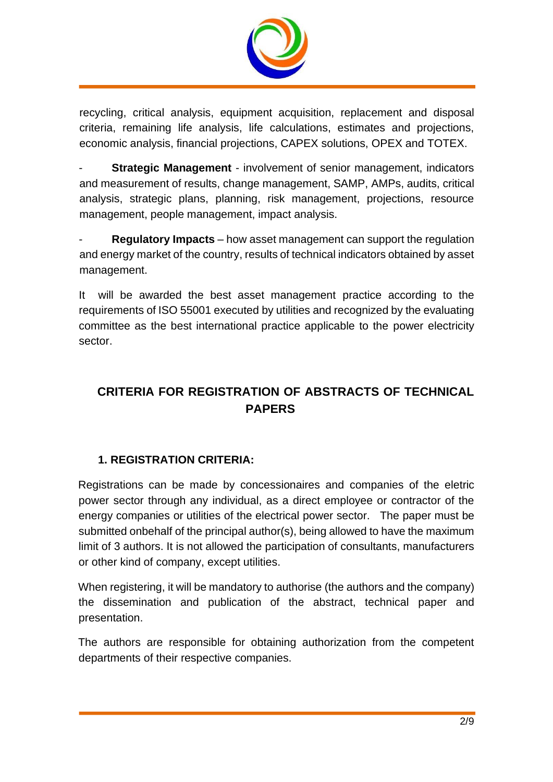

recycling, critical analysis, equipment acquisition, replacement and disposal criteria, remaining life analysis, life calculations, estimates and projections, economic analysis, financial projections, CAPEX solutions, OPEX and TOTEX.

**Strategic Management** - involvement of senior management, indicators and measurement of results, change management, SAMP, AMPs, audits, critical analysis, strategic plans, planning, risk management, projections, resource management, people management, impact analysis.

- **Regulatory Impacts** – how asset management can support the regulation and energy market of the country, results of technical indicators obtained by asset management.

It will be awarded the best asset management practice according to the requirements of ISO 55001 executed by utilities and recognized by the evaluating committee as the best international practice applicable to the power electricity sector.

# **CRITERIA FOR REGISTRATION OF ABSTRACTS OF TECHNICAL PAPERS**

# **1. REGISTRATION CRITERIA:**

Registrations can be made by concessionaires and companies of the eletric power sector through any individual, as a direct employee or contractor of the energy companies or utilities of the electrical power sector. The paper must be submitted onbehalf of the principal author(s), being allowed to have the maximum limit of 3 authors. It is not allowed the participation of consultants, manufacturers or other kind of company, except utilities.

When registering, it will be mandatory to authorise (the authors and the company) the dissemination and publication of the abstract, technical paper and presentation.

The authors are responsible for obtaining authorization from the competent departments of their respective companies.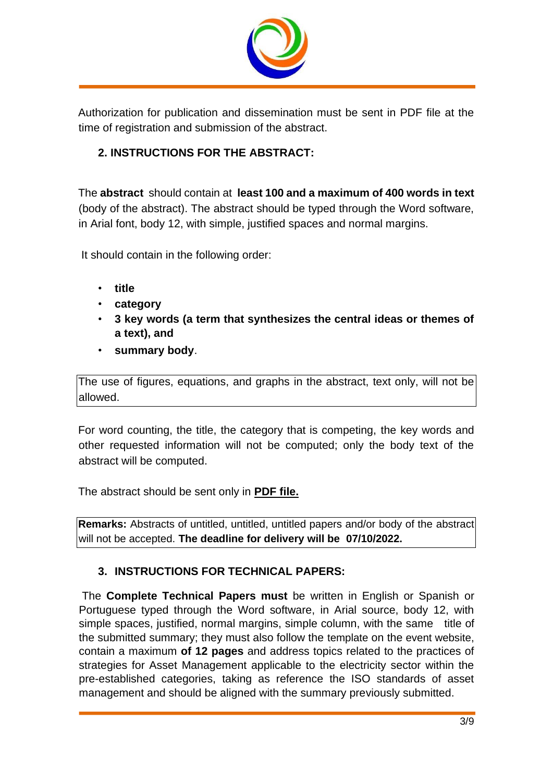

Authorization for publication and dissemination must be sent in PDF file at the time of registration and submission of the abstract.

# **2. INSTRUCTIONS FOR THE ABSTRACT:**

The **abstract** should contain at **least 100 and a maximum of 400 words in text**  (body of the abstract). The abstract should be typed through the Word software, in Arial font, body 12, with simple, justified spaces and normal margins.

It should contain in the following order:

- **title**
- **category**
- **3 key words (a term that synthesizes the central ideas or themes of a text), and**
- **summary body**.

The use of figures, equations, and graphs in the abstract, text only, will not be allowed.

For word counting, the title, the category that is competing, the key words and other requested information will not be computed; only the body text of the abstract will be computed.

The abstract should be sent only in **PDF file.**

**Remarks:** Abstracts of untitled, untitled, untitled papers and/or body of the abstract will not be accepted. **The deadline for delivery will be 07/10/2022.**

### **3. INSTRUCTIONS FOR TECHNICAL PAPERS:**

The **Complete Technical Papers must** be written in English or Spanish or Portuguese typed through the Word software, in Arial source, body 12, with simple spaces, justified, normal margins, simple column, with the same title of the submitted summary; they must also follow the template on the event website, contain a maximum **of 12 pages** and address topics related to the practices of strategies for Asset Management applicable to the electricity sector within the pre-established categories, taking as reference the ISO standards of asset management and should be aligned with the summary previously submitted.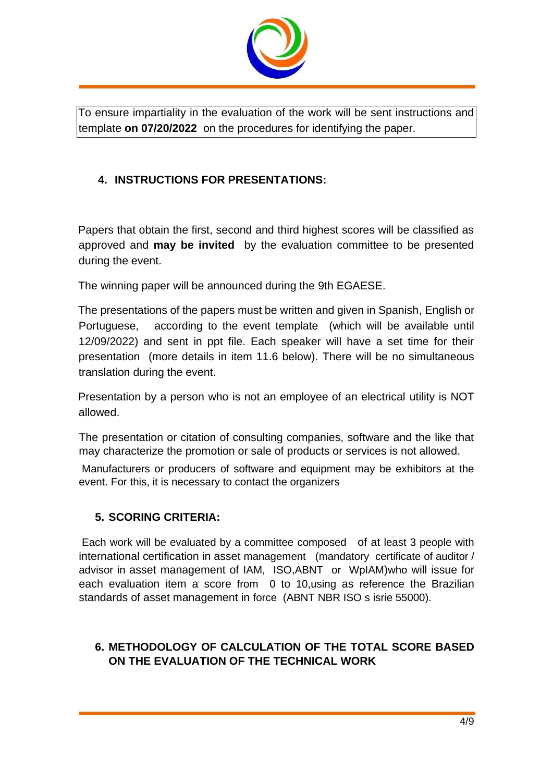

To ensure impartiality in the evaluation of the work will be sent instructions and template **on 07/20/2022** on the procedures for identifying the paper.

### **4. INSTRUCTIONS FOR PRESENTATIONS:**

Papers that obtain the first, second and third highest scores will be classified as approved and **may be invited** by the evaluation committee to be presented during the event.

The winning paper will be announced during the 9th EGAESE.

The presentations of the papers must be written and given in Spanish, English or Portuguese, according to the event template (which will be available until 12/09/2022) and sent in ppt file. Each speaker will have a set time for their presentation (more details in item 11.6 below). There will be no simultaneous translation during the event.

Presentation by a person who is not an employee of an electrical utility is NOT allowed.

The presentation or citation of consulting companies, software and the like that may characterize the promotion or sale of products or services is not allowed.

Manufacturers or producers of software and equipment may be exhibitors at the event. For this, it is necessary to contact the organizers

#### **5. SCORING CRITERIA:**

Each work will be evaluated by a committee composed of at least 3 people with international certification in asset management (mandatory certificate of auditor / advisor in asset management of IAM, ISO,ABNT or WpIAM)who will issue for each evaluation item a score from 0 to 10,using as reference the Brazilian standards of asset management in force (ABNT NBR ISO s isrie 55000).

### **6. METHODOLOGY OF CALCULATION OF THE TOTAL SCORE BASED ON THE EVALUATION OF THE TECHNICAL WORK**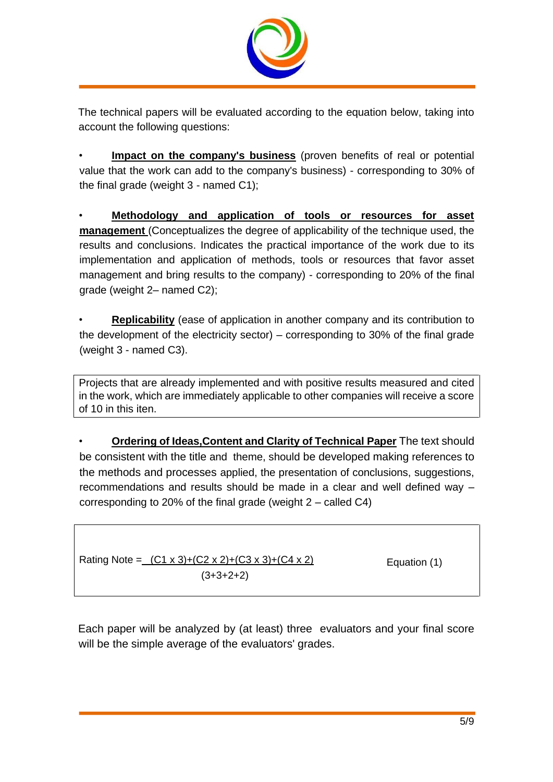

The technical papers will be evaluated according to the equation below, taking into account the following questions:

• **Impact on the company's business** (proven benefits of real or potential value that the work can add to the company's business) - corresponding to 30% of the final grade (weight 3 - named C1);

• **Methodology and application of tools or resources for asset management** (Conceptualizes the degree of applicability of the technique used, the results and conclusions. Indicates the practical importance of the work due to its implementation and application of methods, tools or resources that favor asset management and bring results to the company) - corresponding to 20% of the final grade (weight 2– named C2);

• **Replicability** (ease of application in another company and its contribution to the development of the electricity sector) – corresponding to 30% of the final grade (weight 3 - named C3).

Projects that are already implemented and with positive results measured and cited in the work, which are immediately applicable to other companies will receive a score of 10 in this iten.

• **Ordering of Ideas,Content and Clarity of Technical Paper** The text should be consistent with the title and theme, should be developed making references to the methods and processes applied, the presentation of conclusions, suggestions, recommendations and results should be made in a clear and well defined way – corresponding to 20% of the final grade (weight 2 – called C4)

Rating Note =  $(C1 \times 3)+(C2 \times 2)+(C3 \times 3)+(C4 \times 2)$  $(3+3+2+2)$ 

Equation (1)

Each paper will be analyzed by (at least) three evaluators and your final score will be the simple average of the evaluators' grades.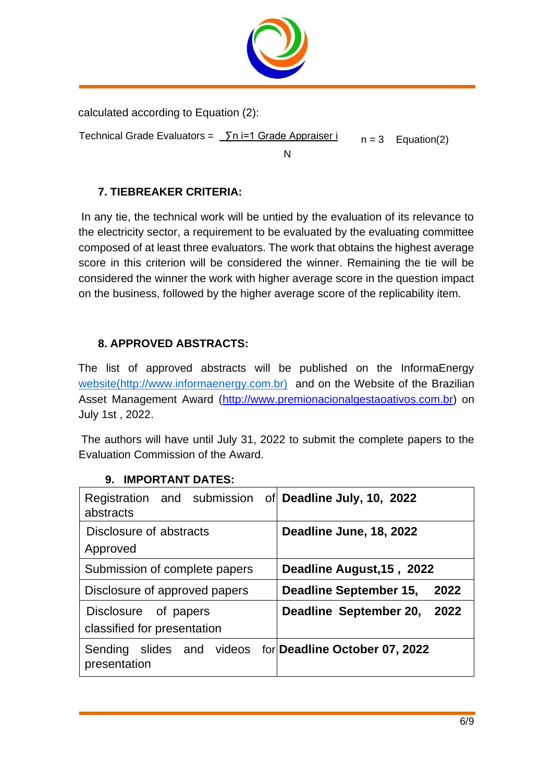

calculated according to Equation (2):

Technical Grade Evaluators =  $\sum n$  i=1 Grade Appraiser i

N

 $n = 3$  Equation(2)

## **7. TIEBREAKER CRITERIA:**

In any tie, the technical work will be untied by the evaluation of its relevance to the electricity sector, a requirement to be evaluated by the evaluating committee composed of at least three evaluators. The work that obtains the highest average score in this criterion will be considered the winner. Remaining the tie will be considered the winner the work with higher average score in the question impact on the business, followed by the higher average score of the replicability item.

## **8. APPROVED ABSTRACTS:**

The list of approved abstracts will be published on the InformaEnerg[y](http://45b1baf4cdf8c2c7e463a35b9a01cb1df2da5bd9/file%3A%2F%2F%2FC%3A%5CUsers%5Cmaris%5CAppData%5CLocal%5CTemp%5C%28) [website](http://45b1baf4cdf8c2c7e463a35b9a01cb1df2da5bd9/file%3A%2F%2F%2FC%3A%5CUsers%5Cmaris%5CAppData%5CLocal%5CTemp%5C%28)[\(http://www.informaenergy.com.br\)](http://www.informaenergy.com.br/) and on the Website of the Brazilian Asset Management Award (http://www[.premionacionalgestaoativos.com.br\)](http://www.premionacionalgestaoativos.com.br/) on July 1st , 2022.

The authors will have until July 31, 2022 to submit the complete papers to the Evaluation Commission of the Award.

| Registration and submission of Deadline July, 10, 2022<br>abstracts            |                                |
|--------------------------------------------------------------------------------|--------------------------------|
| Disclosure of abstracts<br>Approved                                            | Deadline June, 18, 2022        |
| Submission of complete papers                                                  | Deadline August, 15, 2022      |
| Disclosure of approved papers                                                  | Deadline September 15,<br>2022 |
| Disclosure of papers<br>classified for presentation                            | Deadline September 20,<br>2022 |
| Sending slides and videos for <b>Deadline October 07, 2022</b><br>presentation |                                |

#### **9. IMPORTANT DATES:**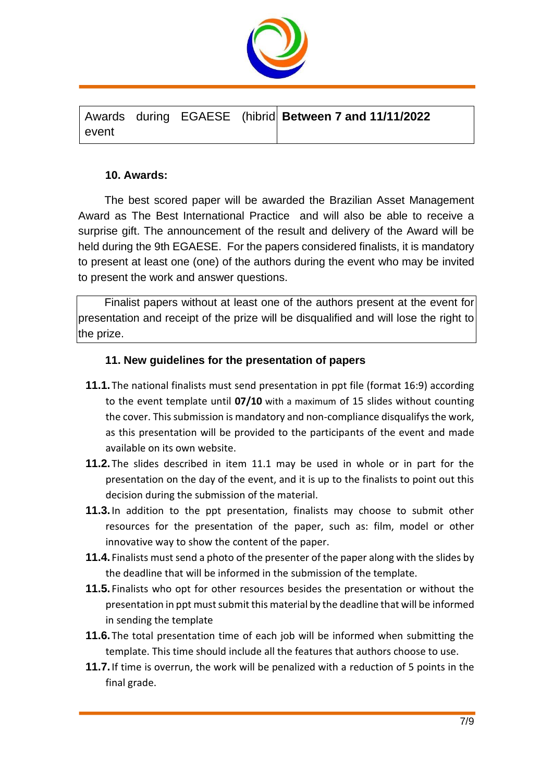

|       |  | Awards during EGAESE (hibrid Between 7 and 11/11/2022 |  |
|-------|--|-------------------------------------------------------|--|
| event |  |                                                       |  |

#### **10. Awards:**

The best scored paper will be awarded the Brazilian Asset Management Award as The Best International Practice and will also be able to receive a surprise gift. The announcement of the result and delivery of the Award will be held during the 9th EGAESE. For the papers considered finalists, it is mandatory to present at least one (one) of the authors during the event who may be invited to present the work and answer questions.

Finalist papers without at least one of the authors present at the event for presentation and receipt of the prize will be disqualified and will lose the right to the prize.

#### **11. New guidelines for the presentation of papers**

- **11.1.** The national finalists must send presentation in ppt file (format 16:9) according to the event template until **07/10** with a maximum of 15 slides without counting the cover. This submission is mandatory and non-compliance disqualifys the work, as this presentation will be provided to the participants of the event and made available on its own website.
- **11.2.** The slides described in item 11.1 may be used in whole or in part for the presentation on the day of the event, and it is up to the finalists to point out this decision during the submission of the material.
- **11.3.**In addition to the ppt presentation, finalists may choose to submit other resources for the presentation of the paper, such as: film, model or other innovative way to show the content of the paper.
- **11.4.** Finalists must send a photo of the presenter of the paper along with the slides by the deadline that will be informed in the submission of the template.
- **11.5.** Finalists who opt for other resources besides the presentation or without the presentation in ppt must submit this material by the deadline that will be informed in sending the template
- **11.6.** The total presentation time of each job will be informed when submitting the template. This time should include all the features that authors choose to use.
- **11.7.**If time is overrun, the work will be penalized with a reduction of 5 points in the final grade.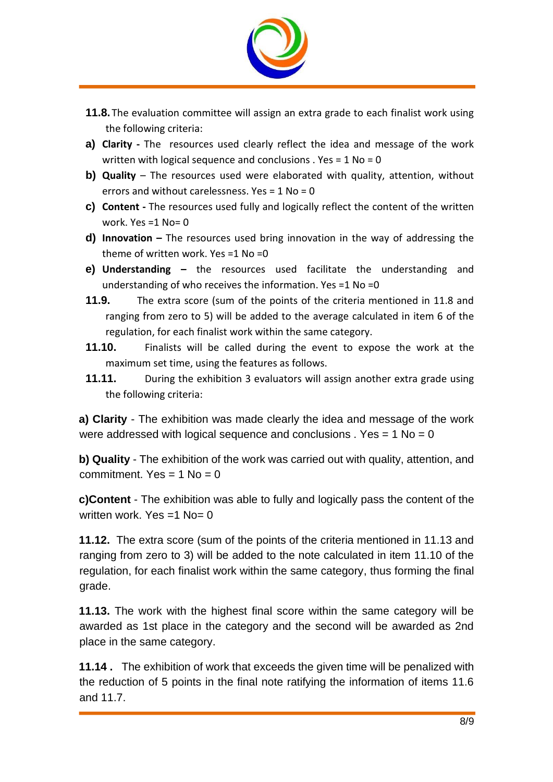

- **11.8.** The evaluation committee will assign an extra grade to each finalist work using the following criteria:
- **a) Clarity -** The resources used clearly reflect the idea and message of the work written with logical sequence and conclusions . Yes = 1 No = 0
- **b)** Quality The resources used were elaborated with quality, attention, without errors and without carelessness. Yes  $= 1$  No  $= 0$
- **c) Content -** The resources used fully and logically reflect the content of the written work. Yes =1 No= 0
- **d) Innovation –** The resources used bring innovation in the way of addressing the theme of written work. Yes =1 No =0
- **e) Understanding –** the resources used facilitate the understanding and understanding of who receives the information. Yes =1 No =0
- **11.9.** The extra score (sum of the points of the criteria mentioned in 11.8 and ranging from zero to 5) will be added to the average calculated in item 6 of the regulation, for each finalist work within the same category.
- **11.10.** Finalists will be called during the event to expose the work at the maximum set time, using the features as follows.
- **11.11.** During the exhibition 3 evaluators will assign another extra grade using the following criteria:

**a) Clarity** - The exhibition was made clearly the idea and message of the work were addressed with logical sequence and conclusions . Yes =  $1$  No =  $0$ 

**b) Quality** - The exhibition of the work was carried out with quality, attention, and commitment. Yes =  $1$  No =  $0$ 

**c)Content** - The exhibition was able to fully and logically pass the content of the written work. Yes  $=1$  No= 0

**11.12.** The extra score (sum of the points of the criteria mentioned in 11.13 and ranging from zero to 3) will be added to the note calculated in item 11.10 of the regulation, for each finalist work within the same category, thus forming the final grade.

**11.13.** The work with the highest final score within the same category will be awarded as 1st place in the category and the second will be awarded as 2nd place in the same category.

**11.14 .** The exhibition of work that exceeds the given time will be penalized with the reduction of 5 points in the final note ratifying the information of items 11.6 and 11.7.